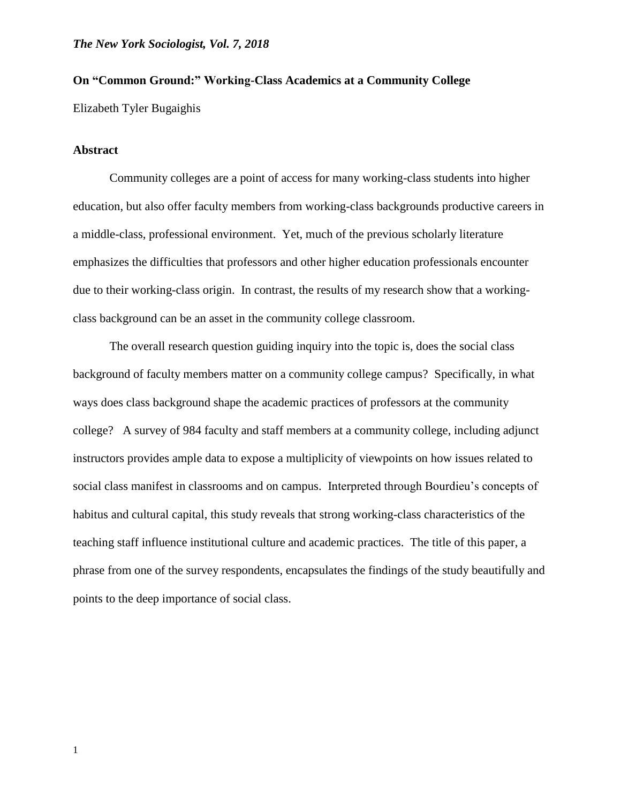# **On "Common Ground:" Working-Class Academics at a Community College**

Elizabeth Tyler Bugaighis

## **Abstract**

Community colleges are a point of access for many working-class students into higher education, but also offer faculty members from working-class backgrounds productive careers in a middle-class, professional environment. Yet, much of the previous scholarly literature emphasizes the difficulties that professors and other higher education professionals encounter due to their working-class origin. In contrast, the results of my research show that a workingclass background can be an asset in the community college classroom.

The overall research question guiding inquiry into the topic is, does the social class background of faculty members matter on a community college campus? Specifically, in what ways does class background shape the academic practices of professors at the community college? A survey of 984 faculty and staff members at a community college, including adjunct instructors provides ample data to expose a multiplicity of viewpoints on how issues related to social class manifest in classrooms and on campus. Interpreted through Bourdieu's concepts of habitus and cultural capital, this study reveals that strong working-class characteristics of the teaching staff influence institutional culture and academic practices. The title of this paper, a phrase from one of the survey respondents, encapsulates the findings of the study beautifully and points to the deep importance of social class.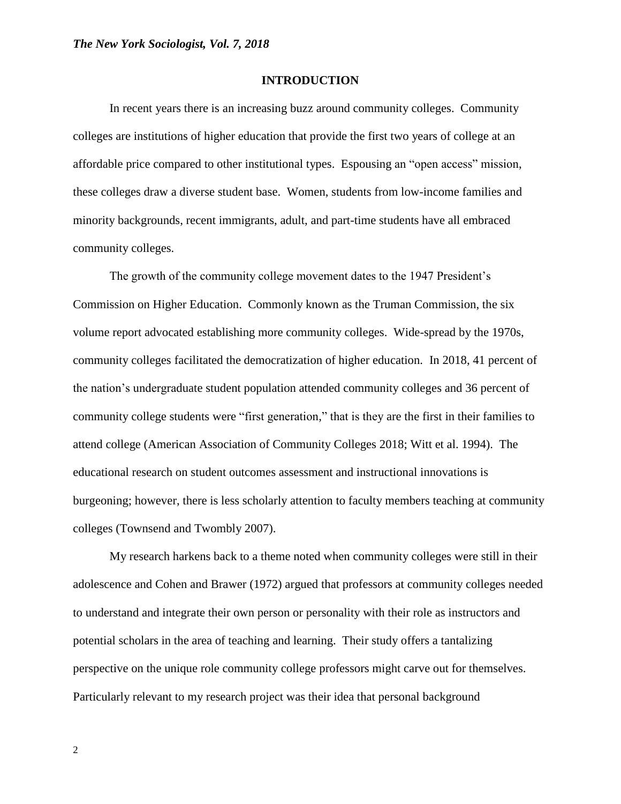#### **INTRODUCTION**

In recent years there is an increasing buzz around community colleges. Community colleges are institutions of higher education that provide the first two years of college at an affordable price compared to other institutional types. Espousing an "open access" mission, these colleges draw a diverse student base. Women, students from low-income families and minority backgrounds, recent immigrants, adult, and part-time students have all embraced community colleges.

The growth of the community college movement dates to the 1947 President's Commission on Higher Education. Commonly known as the Truman Commission, the six volume report advocated establishing more community colleges. Wide-spread by the 1970s, community colleges facilitated the democratization of higher education. In 2018, 41 percent of the nation's undergraduate student population attended community colleges and 36 percent of community college students were "first generation," that is they are the first in their families to attend college (American Association of Community Colleges 2018; Witt et al. 1994). The educational research on student outcomes assessment and instructional innovations is burgeoning; however, there is less scholarly attention to faculty members teaching at community colleges (Townsend and Twombly 2007).

My research harkens back to a theme noted when community colleges were still in their adolescence and Cohen and Brawer (1972) argued that professors at community colleges needed to understand and integrate their own person or personality with their role as instructors and potential scholars in the area of teaching and learning. Their study offers a tantalizing perspective on the unique role community college professors might carve out for themselves. Particularly relevant to my research project was their idea that personal background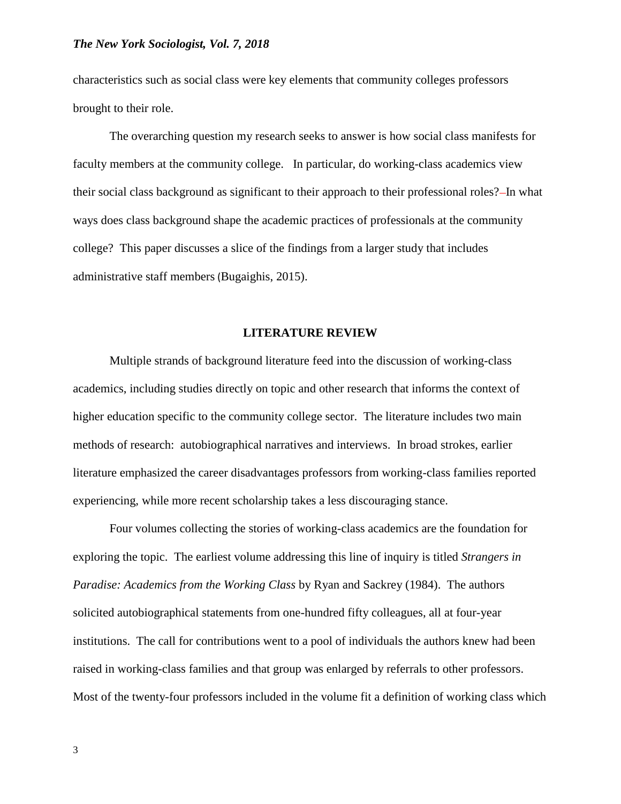characteristics such as social class were key elements that community colleges professors brought to their role.

The overarching question my research seeks to answer is how social class manifests for faculty members at the community college. In particular, do working-class academics view their social class background as significant to their approach to their professional roles?—In what ways does class background shape the academic practices of professionals at the community college? This paper discusses a slice of the findings from a larger study that includes administrative staff members (Bugaighis, 2015).

# **LITERATURE REVIEW**

Multiple strands of background literature feed into the discussion of working-class academics, including studies directly on topic and other research that informs the context of higher education specific to the community college sector. The literature includes two main methods of research: autobiographical narratives and interviews. In broad strokes, earlier literature emphasized the career disadvantages professors from working-class families reported experiencing, while more recent scholarship takes a less discouraging stance.

Four volumes collecting the stories of working-class academics are the foundation for exploring the topic. The earliest volume addressing this line of inquiry is titled *Strangers in Paradise: Academics from the Working Class* by Ryan and Sackrey (1984). The authors solicited autobiographical statements from one-hundred fifty colleagues, all at four-year institutions. The call for contributions went to a pool of individuals the authors knew had been raised in working-class families and that group was enlarged by referrals to other professors. Most of the twenty-four professors included in the volume fit a definition of working class which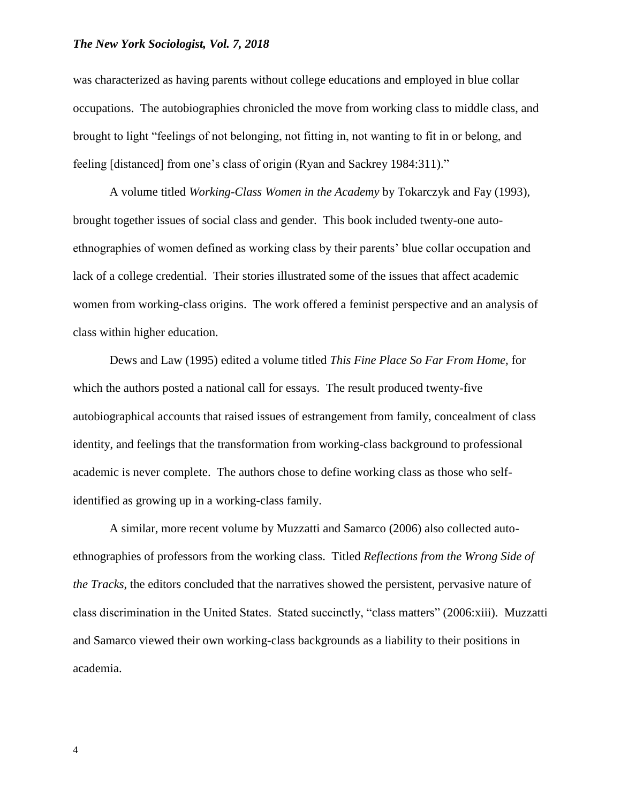was characterized as having parents without college educations and employed in blue collar occupations. The autobiographies chronicled the move from working class to middle class, and brought to light "feelings of not belonging, not fitting in, not wanting to fit in or belong, and feeling [distanced] from one's class of origin (Ryan and Sackrey 1984:311)."

A volume titled *Working-Class Women in the Academy* by Tokarczyk and Fay (1993), brought together issues of social class and gender. This book included twenty-one autoethnographies of women defined as working class by their parents' blue collar occupation and lack of a college credential. Their stories illustrated some of the issues that affect academic women from working-class origins. The work offered a feminist perspective and an analysis of class within higher education.

Dews and Law (1995) edited a volume titled *This Fine Place So Far From Home,* for which the authors posted a national call for essays. The result produced twenty-five autobiographical accounts that raised issues of estrangement from family, concealment of class identity, and feelings that the transformation from working-class background to professional academic is never complete. The authors chose to define working class as those who selfidentified as growing up in a working-class family.

A similar, more recent volume by Muzzatti and Samarco (2006) also collected autoethnographies of professors from the working class. Titled *Reflections from the Wrong Side of the Tracks*, the editors concluded that the narratives showed the persistent, pervasive nature of class discrimination in the United States. Stated succinctly, "class matters" (2006:xiii). Muzzatti and Samarco viewed their own working-class backgrounds as a liability to their positions in academia.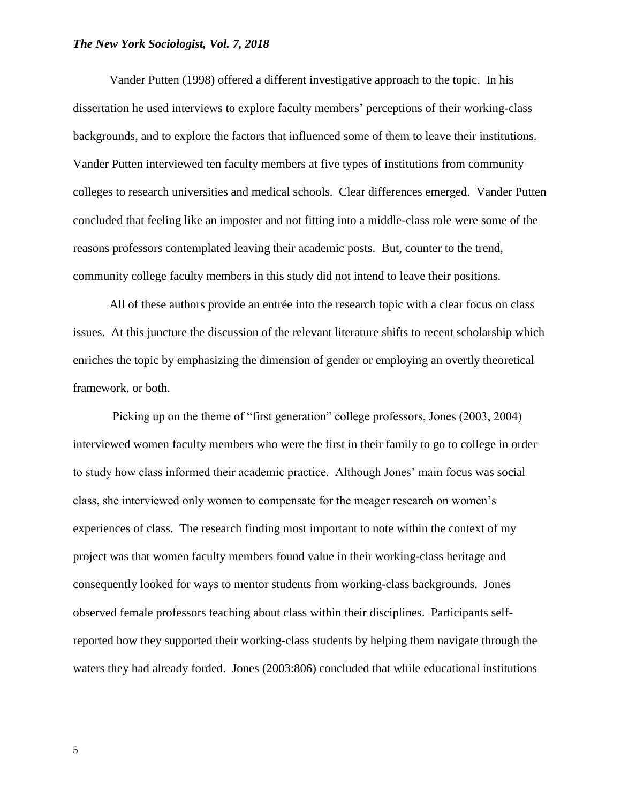Vander Putten (1998) offered a different investigative approach to the topic. In his dissertation he used interviews to explore faculty members' perceptions of their working-class backgrounds, and to explore the factors that influenced some of them to leave their institutions. Vander Putten interviewed ten faculty members at five types of institutions from community colleges to research universities and medical schools. Clear differences emerged. Vander Putten concluded that feeling like an imposter and not fitting into a middle-class role were some of the reasons professors contemplated leaving their academic posts. But, counter to the trend, community college faculty members in this study did not intend to leave their positions.

All of these authors provide an entrée into the research topic with a clear focus on class issues. At this juncture the discussion of the relevant literature shifts to recent scholarship which enriches the topic by emphasizing the dimension of gender or employing an overtly theoretical framework, or both.

Picking up on the theme of "first generation" college professors, Jones (2003, 2004) interviewed women faculty members who were the first in their family to go to college in order to study how class informed their academic practice. Although Jones' main focus was social class, she interviewed only women to compensate for the meager research on women's experiences of class. The research finding most important to note within the context of my project was that women faculty members found value in their working-class heritage and consequently looked for ways to mentor students from working-class backgrounds. Jones observed female professors teaching about class within their disciplines. Participants selfreported how they supported their working-class students by helping them navigate through the waters they had already forded. Jones (2003:806) concluded that while educational institutions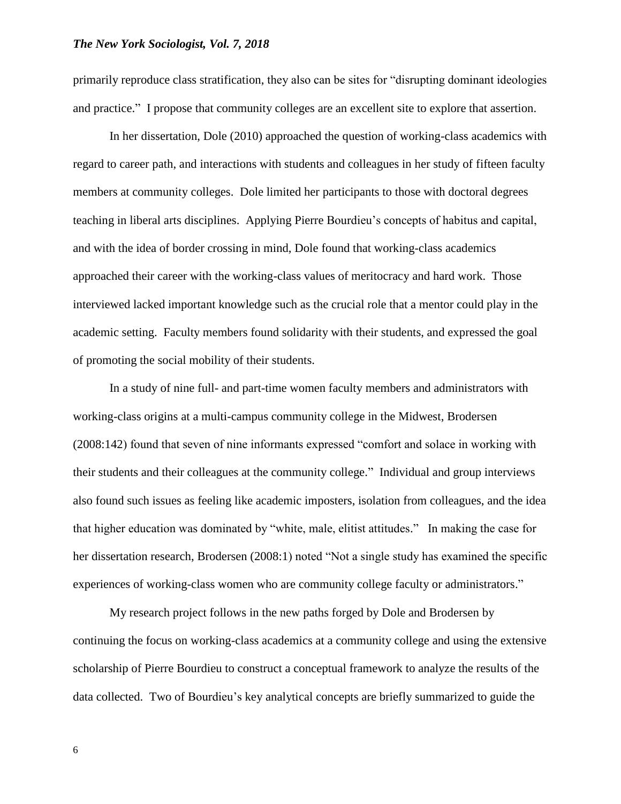primarily reproduce class stratification, they also can be sites for "disrupting dominant ideologies and practice." I propose that community colleges are an excellent site to explore that assertion.

In her dissertation, Dole (2010) approached the question of working-class academics with regard to career path, and interactions with students and colleagues in her study of fifteen faculty members at community colleges. Dole limited her participants to those with doctoral degrees teaching in liberal arts disciplines. Applying Pierre Bourdieu's concepts of habitus and capital, and with the idea of border crossing in mind, Dole found that working-class academics approached their career with the working-class values of meritocracy and hard work. Those interviewed lacked important knowledge such as the crucial role that a mentor could play in the academic setting. Faculty members found solidarity with their students, and expressed the goal of promoting the social mobility of their students.

In a study of nine full- and part-time women faculty members and administrators with working-class origins at a multi-campus community college in the Midwest, Brodersen (2008:142) found that seven of nine informants expressed "comfort and solace in working with their students and their colleagues at the community college." Individual and group interviews also found such issues as feeling like academic imposters, isolation from colleagues, and the idea that higher education was dominated by "white, male, elitist attitudes." In making the case for her dissertation research, Brodersen (2008:1) noted "Not a single study has examined the specific experiences of working-class women who are community college faculty or administrators."

My research project follows in the new paths forged by Dole and Brodersen by continuing the focus on working-class academics at a community college and using the extensive scholarship of Pierre Bourdieu to construct a conceptual framework to analyze the results of the data collected. Two of Bourdieu's key analytical concepts are briefly summarized to guide the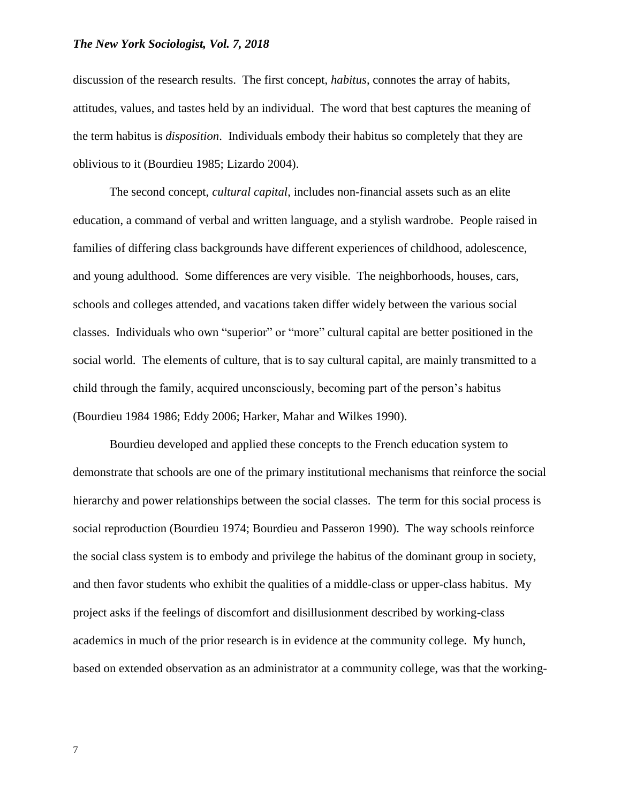discussion of the research results. The first concept, *habitus*, connotes the array of habits, attitudes, values, and tastes held by an individual. The word that best captures the meaning of the term habitus is *disposition*. Individuals embody their habitus so completely that they are oblivious to it (Bourdieu 1985; Lizardo 2004).

The second concept, *cultural capital*, includes non-financial assets such as an elite education, a command of verbal and written language, and a stylish wardrobe. People raised in families of differing class backgrounds have different experiences of childhood, adolescence, and young adulthood. Some differences are very visible. The neighborhoods, houses, cars, schools and colleges attended, and vacations taken differ widely between the various social classes. Individuals who own "superior" or "more" cultural capital are better positioned in the social world. The elements of culture, that is to say cultural capital, are mainly transmitted to a child through the family, acquired unconsciously, becoming part of the person's habitus (Bourdieu 1984 1986; Eddy 2006; Harker, Mahar and Wilkes 1990).

Bourdieu developed and applied these concepts to the French education system to demonstrate that schools are one of the primary institutional mechanisms that reinforce the social hierarchy and power relationships between the social classes. The term for this social process is social reproduction (Bourdieu 1974; Bourdieu and Passeron 1990). The way schools reinforce the social class system is to embody and privilege the habitus of the dominant group in society, and then favor students who exhibit the qualities of a middle-class or upper-class habitus. My project asks if the feelings of discomfort and disillusionment described by working-class academics in much of the prior research is in evidence at the community college. My hunch, based on extended observation as an administrator at a community college, was that the working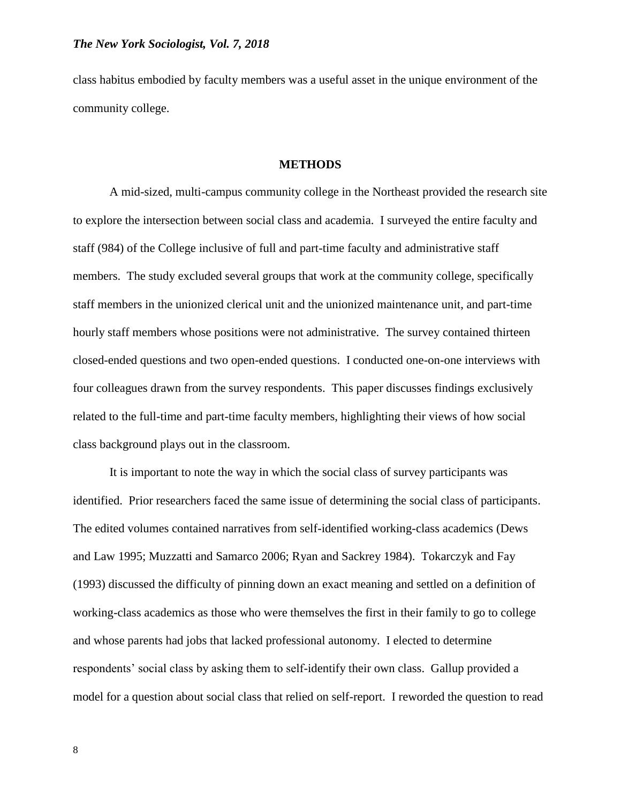class habitus embodied by faculty members was a useful asset in the unique environment of the community college.

#### **METHODS**

A mid-sized, multi-campus community college in the Northeast provided the research site to explore the intersection between social class and academia. I surveyed the entire faculty and staff (984) of the College inclusive of full and part-time faculty and administrative staff members. The study excluded several groups that work at the community college, specifically staff members in the unionized clerical unit and the unionized maintenance unit, and part-time hourly staff members whose positions were not administrative. The survey contained thirteen closed-ended questions and two open-ended questions. I conducted one-on-one interviews with four colleagues drawn from the survey respondents. This paper discusses findings exclusively related to the full-time and part-time faculty members, highlighting their views of how social class background plays out in the classroom.

It is important to note the way in which the social class of survey participants was identified. Prior researchers faced the same issue of determining the social class of participants. The edited volumes contained narratives from self-identified working-class academics (Dews and Law 1995; Muzzatti and Samarco 2006; Ryan and Sackrey 1984). Tokarczyk and Fay (1993) discussed the difficulty of pinning down an exact meaning and settled on a definition of working-class academics as those who were themselves the first in their family to go to college and whose parents had jobs that lacked professional autonomy. I elected to determine respondents' social class by asking them to self-identify their own class. Gallup provided a model for a question about social class that relied on self-report. I reworded the question to read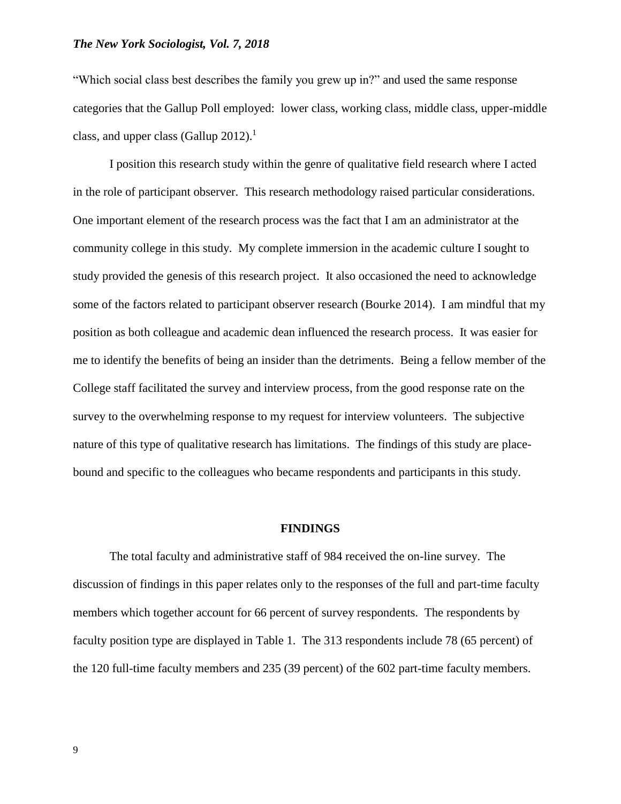"Which social class best describes the family you grew up in?" and used the same response categories that the Gallup Poll employed: lower class, working class, middle class, upper-middle class, and upper class (Gallup  $2012$ ).<sup>1</sup>

I position this research study within the genre of qualitative field research where I acted in the role of participant observer. This research methodology raised particular considerations. One important element of the research process was the fact that I am an administrator at the community college in this study. My complete immersion in the academic culture I sought to study provided the genesis of this research project. It also occasioned the need to acknowledge some of the factors related to participant observer research (Bourke 2014). I am mindful that my position as both colleague and academic dean influenced the research process. It was easier for me to identify the benefits of being an insider than the detriments. Being a fellow member of the College staff facilitated the survey and interview process, from the good response rate on the survey to the overwhelming response to my request for interview volunteers. The subjective nature of this type of qualitative research has limitations. The findings of this study are placebound and specific to the colleagues who became respondents and participants in this study.

#### **FINDINGS**

The total faculty and administrative staff of 984 received the on-line survey. The discussion of findings in this paper relates only to the responses of the full and part-time faculty members which together account for 66 percent of survey respondents. The respondents by faculty position type are displayed in Table 1. The 313 respondents include 78 (65 percent) of the 120 full-time faculty members and 235 (39 percent) of the 602 part-time faculty members.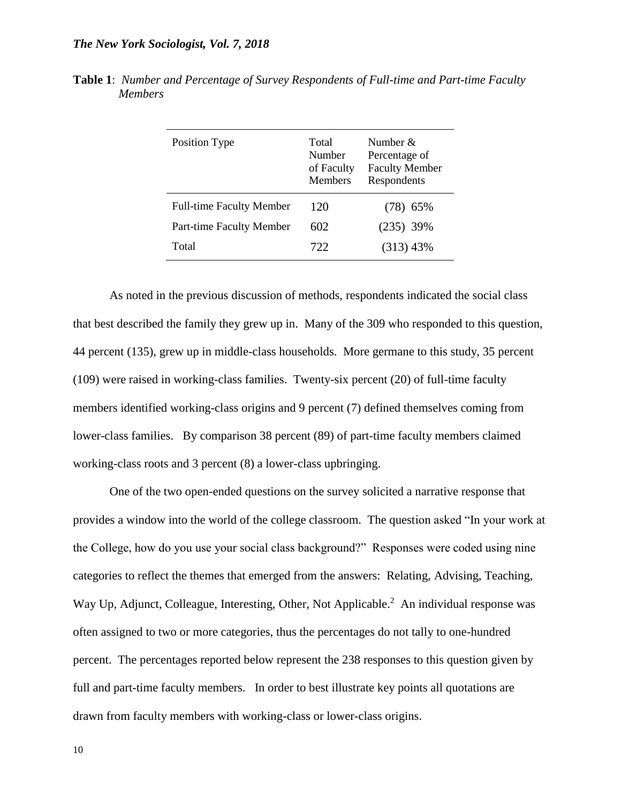| Position Type                   | Total<br>Number<br>of Faculty<br><b>Members</b> | Number $&$<br>Percentage of<br><b>Faculty Member</b><br>Respondents |
|---------------------------------|-------------------------------------------------|---------------------------------------------------------------------|
| <b>Full-time Faculty Member</b> | 120                                             | $(78)$ 65%                                                          |
| Part-time Faculty Member        | 602                                             | $(235)$ 39%                                                         |
| Total                           | 722.                                            | $(313)$ 43%                                                         |

**Table 1**: *Number and Percentage of Survey Respondents of Full-time and Part-time Faculty Members*

As noted in the previous discussion of methods, respondents indicated the social class that best described the family they grew up in. Many of the 309 who responded to this question, 44 percent (135), grew up in middle-class households. More germane to this study, 35 percent (109) were raised in working-class families. Twenty-six percent (20) of full-time faculty members identified working-class origins and 9 percent (7) defined themselves coming from lower-class families. By comparison 38 percent (89) of part-time faculty members claimed working-class roots and 3 percent (8) a lower-class upbringing.

One of the two open-ended questions on the survey solicited a narrative response that provides a window into the world of the college classroom. The question asked "In your work at the College, how do you use your social class background?" Responses were coded using nine categories to reflect the themes that emerged from the answers: Relating, Advising, Teaching, Way Up, Adjunct, Colleague, Interesting, Other, Not Applicable. $^2$  An individual response was often assigned to two or more categories, thus the percentages do not tally to one-hundred percent. The percentages reported below represent the 238 responses to this question given by full and part-time faculty members. In order to best illustrate key points all quotations are drawn from faculty members with working-class or lower-class origins.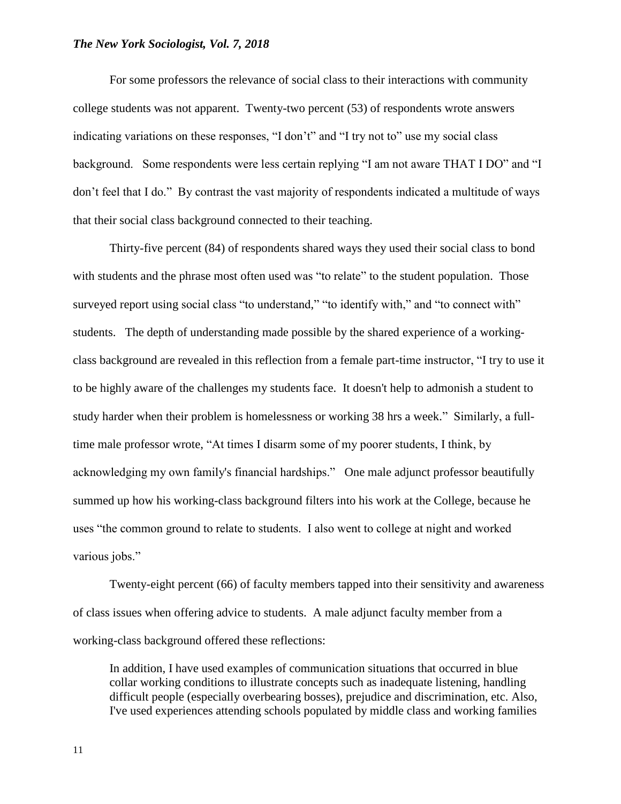For some professors the relevance of social class to their interactions with community college students was not apparent. Twenty-two percent (53) of respondents wrote answers indicating variations on these responses, "I don't" and "I try not to" use my social class background. Some respondents were less certain replying "I am not aware THAT I DO" and "I don't feel that I do." By contrast the vast majority of respondents indicated a multitude of ways that their social class background connected to their teaching.

Thirty-five percent (84) of respondents shared ways they used their social class to bond with students and the phrase most often used was "to relate" to the student population. Those surveyed report using social class "to understand," "to identify with," and "to connect with" students. The depth of understanding made possible by the shared experience of a workingclass background are revealed in this reflection from a female part-time instructor, "I try to use it to be highly aware of the challenges my students face. It doesn't help to admonish a student to study harder when their problem is homelessness or working 38 hrs a week." Similarly, a fulltime male professor wrote, "At times I disarm some of my poorer students, I think, by acknowledging my own family's financial hardships." One male adjunct professor beautifully summed up how his working-class background filters into his work at the College, because he uses "the common ground to relate to students. I also went to college at night and worked various jobs."

Twenty-eight percent (66) of faculty members tapped into their sensitivity and awareness of class issues when offering advice to students. A male adjunct faculty member from a working-class background offered these reflections:

In addition, I have used examples of communication situations that occurred in blue collar working conditions to illustrate concepts such as inadequate listening, handling difficult people (especially overbearing bosses), prejudice and discrimination, etc. Also, I've used experiences attending schools populated by middle class and working families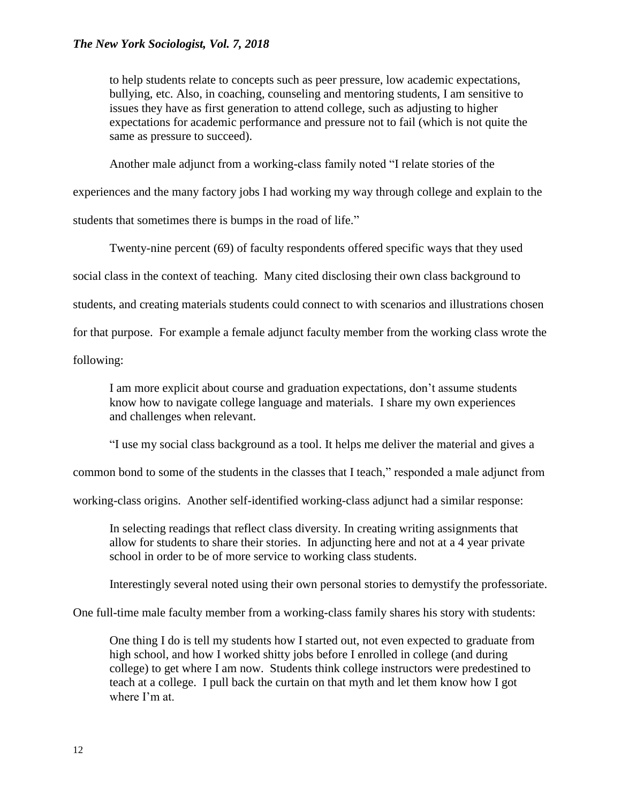to help students relate to concepts such as peer pressure, low academic expectations, bullying, etc. Also, in coaching, counseling and mentoring students, I am sensitive to issues they have as first generation to attend college, such as adjusting to higher expectations for academic performance and pressure not to fail (which is not quite the same as pressure to succeed).

Another male adjunct from a working-class family noted "I relate stories of the

experiences and the many factory jobs I had working my way through college and explain to the

students that sometimes there is bumps in the road of life."

Twenty-nine percent (69) of faculty respondents offered specific ways that they used social class in the context of teaching. Many cited disclosing their own class background to students, and creating materials students could connect to with scenarios and illustrations chosen for that purpose. For example a female adjunct faculty member from the working class wrote the following:

I am more explicit about course and graduation expectations, don't assume students know how to navigate college language and materials. I share my own experiences and challenges when relevant.

"I use my social class background as a tool. It helps me deliver the material and gives a

common bond to some of the students in the classes that I teach," responded a male adjunct from

working-class origins. Another self-identified working-class adjunct had a similar response:

In selecting readings that reflect class diversity. In creating writing assignments that allow for students to share their stories. In adjuncting here and not at a 4 year private school in order to be of more service to working class students.

Interestingly several noted using their own personal stories to demystify the professoriate.

One full-time male faculty member from a working-class family shares his story with students:

One thing I do is tell my students how I started out, not even expected to graduate from high school, and how I worked shitty jobs before I enrolled in college (and during college) to get where I am now. Students think college instructors were predestined to teach at a college. I pull back the curtain on that myth and let them know how I got where I'm at.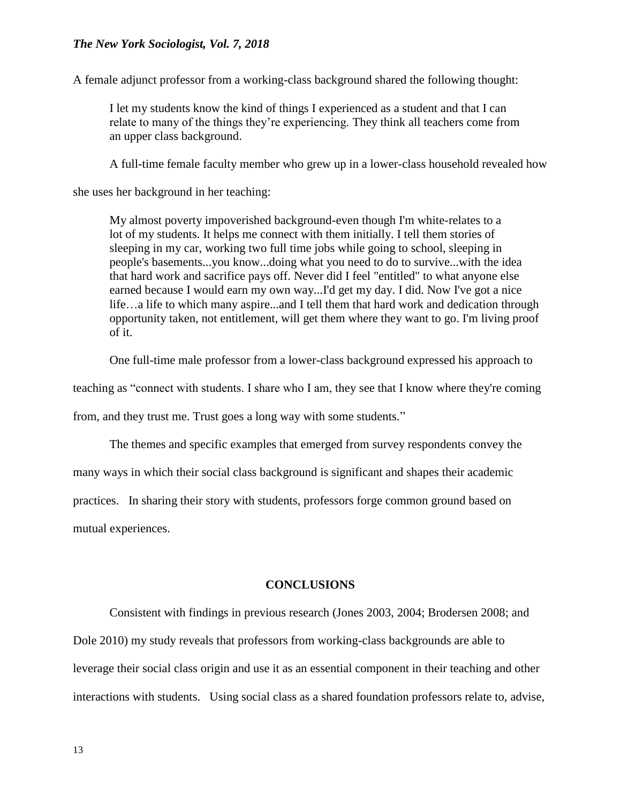A female adjunct professor from a working-class background shared the following thought:

I let my students know the kind of things I experienced as a student and that I can relate to many of the things they're experiencing. They think all teachers come from an upper class background.

A full-time female faculty member who grew up in a lower-class household revealed how

she uses her background in her teaching:

My almost poverty impoverished background-even though I'm white-relates to a lot of my students. It helps me connect with them initially. I tell them stories of sleeping in my car, working two full time jobs while going to school, sleeping in people's basements...you know...doing what you need to do to survive...with the idea that hard work and sacrifice pays off. Never did I feel "entitled" to what anyone else earned because I would earn my own way...I'd get my day. I did. Now I've got a nice life…a life to which many aspire...and I tell them that hard work and dedication through opportunity taken, not entitlement, will get them where they want to go. I'm living proof of it.

One full-time male professor from a lower-class background expressed his approach to

teaching as "connect with students. I share who I am, they see that I know where they're coming

from, and they trust me. Trust goes a long way with some students."

The themes and specific examples that emerged from survey respondents convey the

many ways in which their social class background is significant and shapes their academic

practices. In sharing their story with students, professors forge common ground based on

mutual experiences.

#### **CONCLUSIONS**

Consistent with findings in previous research (Jones 2003, 2004; Brodersen 2008; and Dole 2010) my study reveals that professors from working-class backgrounds are able to leverage their social class origin and use it as an essential component in their teaching and other interactions with students. Using social class as a shared foundation professors relate to, advise,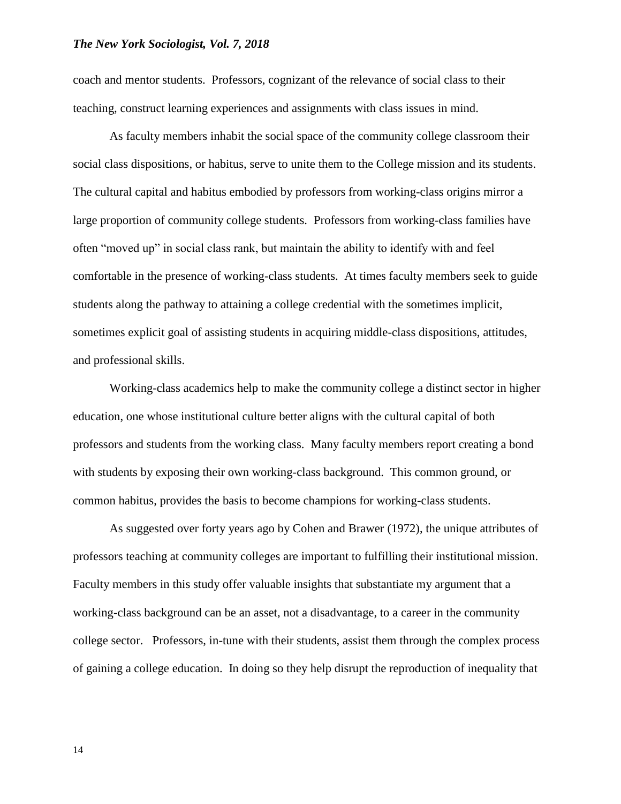coach and mentor students. Professors, cognizant of the relevance of social class to their teaching, construct learning experiences and assignments with class issues in mind.

As faculty members inhabit the social space of the community college classroom their social class dispositions, or habitus, serve to unite them to the College mission and its students. The cultural capital and habitus embodied by professors from working-class origins mirror a large proportion of community college students. Professors from working-class families have often "moved up" in social class rank, but maintain the ability to identify with and feel comfortable in the presence of working-class students. At times faculty members seek to guide students along the pathway to attaining a college credential with the sometimes implicit, sometimes explicit goal of assisting students in acquiring middle-class dispositions, attitudes, and professional skills.

Working-class academics help to make the community college a distinct sector in higher education, one whose institutional culture better aligns with the cultural capital of both professors and students from the working class. Many faculty members report creating a bond with students by exposing their own working-class background. This common ground, or common habitus, provides the basis to become champions for working-class students.

As suggested over forty years ago by Cohen and Brawer (1972), the unique attributes of professors teaching at community colleges are important to fulfilling their institutional mission. Faculty members in this study offer valuable insights that substantiate my argument that a working-class background can be an asset, not a disadvantage, to a career in the community college sector. Professors, in-tune with their students, assist them through the complex process of gaining a college education. In doing so they help disrupt the reproduction of inequality that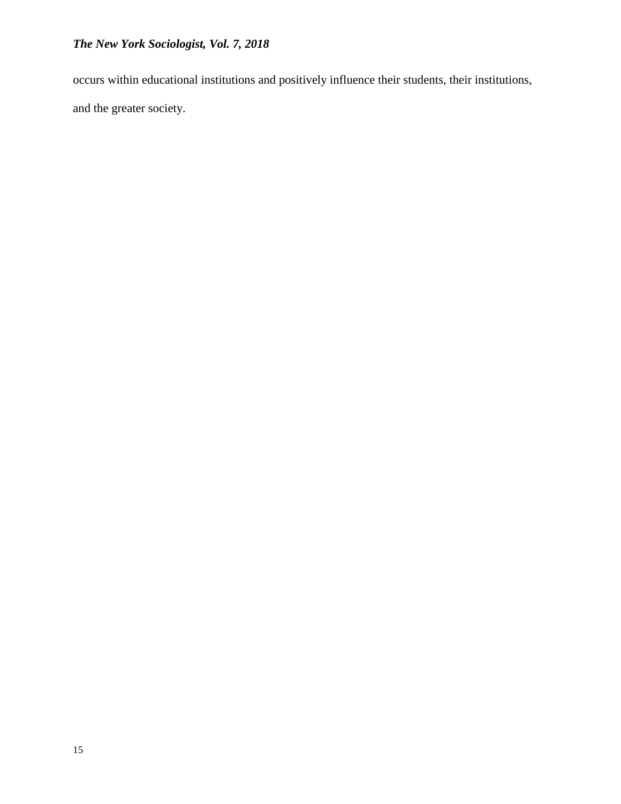occurs within educational institutions and positively influence their students, their institutions, and the greater society.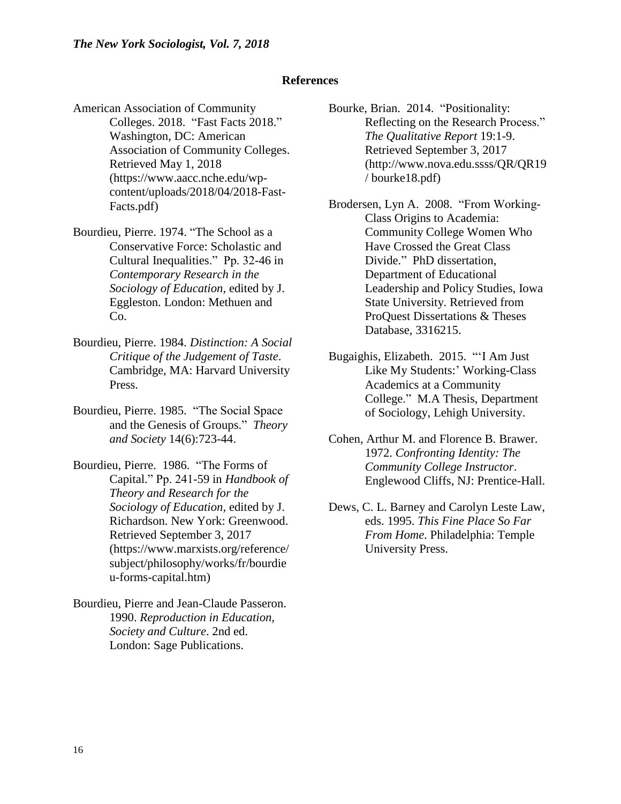#### **References**

- American Association of Community Colleges. 2018. "Fast Facts 2018." Washington, DC: American Association of Community Colleges. Retrieved May 1, 2018 (https://www.aacc.nche.edu/wpcontent/uploads/2018/04/2018-Fast-Facts.pdf)
- Bourdieu, Pierre. 1974. "The School as a Conservative Force: Scholastic and Cultural Inequalities." Pp. 32-46 in *Contemporary Research in the Sociology of Education,* edited by J. Eggleston. London: Methuen and Co.
- Bourdieu, Pierre. 1984. *Distinction: A Social Critique of the Judgement of Taste*. Cambridge, MA: Harvard University Press.
- Bourdieu, Pierre. 1985. "The Social Space and the Genesis of Groups." *Theory and Society* 14(6):723-44.
- Bourdieu, Pierre. 1986. "The Forms of Capital." Pp. 241-59 in *Handbook of Theory and Research for the Sociology of Education,* edited by J. Richardson. New York: Greenwood. Retrieved September 3, 2017 (https://www.marxists.org/reference/ subject/philosophy/works/fr/bourdie u-forms-capital.htm)
- Bourdieu, Pierre and Jean-Claude Passeron. 1990. *Reproduction in Education, Society and Culture*. 2nd ed. London: Sage Publications.
- Bourke, Brian. 2014. "Positionality: Reflecting on the Research Process." *The Qualitative Report* 19:1-9. Retrieved September 3, 2017 (http://www.nova.edu.ssss/QR/QR19 / bourke18.pdf)
- Brodersen, Lyn A. 2008. "From Working-Class Origins to Academia: Community College Women Who Have Crossed the Great Class Divide." PhD dissertation, Department of Educational Leadership and Policy Studies, Iowa State University. Retrieved from ProQuest Dissertations & Theses Database, 3316215.
- Bugaighis, Elizabeth. 2015. "'I Am Just Like My Students:' Working-Class Academics at a Community College." M.A Thesis, Department of Sociology, Lehigh University.
- Cohen, Arthur M. and Florence B. Brawer. 1972. *Confronting Identity: The Community College Instructor*. Englewood Cliffs, NJ: Prentice-Hall.
- Dews, C. L. Barney and Carolyn Leste Law, eds. 1995. *This Fine Place So Far From Home*. Philadelphia: Temple University Press.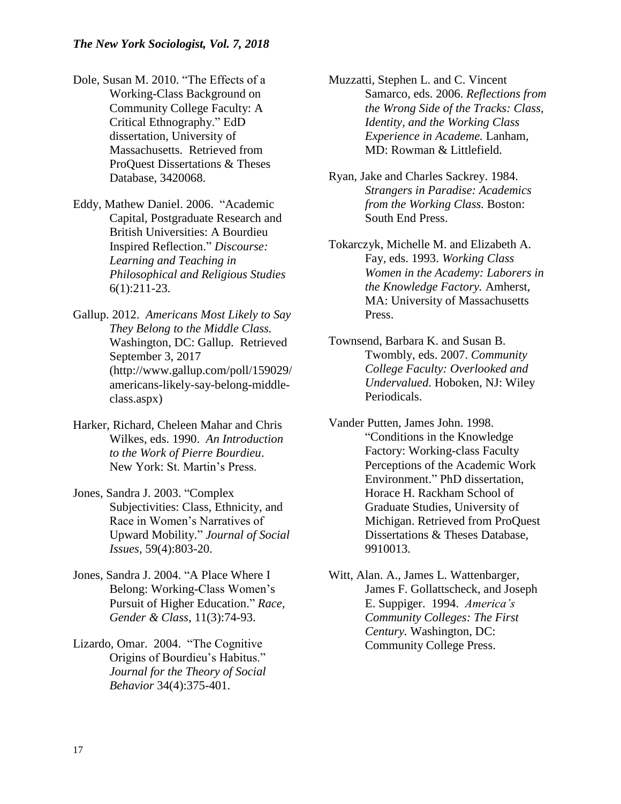- Dole, Susan M. 2010. "The Effects of a Working-Class Background on Community College Faculty: A Critical Ethnography." EdD dissertation, University of Massachusetts. Retrieved from ProQuest Dissertations & Theses Database, 3420068.
- Eddy, Mathew Daniel. 2006. "Academic Capital, Postgraduate Research and British Universities: A Bourdieu Inspired Reflection." *Discourse: Learning and Teaching in Philosophical and Religious Studies* 6(1):211-23.
- Gallup. 2012. *Americans Most Likely to Say They Belong to the Middle Class.*  Washington, DC: Gallup. Retrieved September 3, 2017 [\(http://www.gallup.com](http://www.gallup.co/)/poll/159029/ americans-likely-say-belong-middleclass.aspx)
- Harker, Richard, Cheleen Mahar and Chris Wilkes, eds. 1990. *An Introduction to the Work of Pierre Bourdieu*. New York: St. Martin's Press.
- Jones, Sandra J. 2003. "Complex Subjectivities: Class, Ethnicity, and Race in Women's Narratives of Upward Mobility." *Journal of Social Issues,* 59(4):803-20.
- Jones, Sandra J. 2004. "A Place Where I Belong: Working-Class Women's Pursuit of Higher Education." *Race, Gender & Class,* 11(3):74-93.
- Lizardo, Omar. 2004. "The Cognitive Origins of Bourdieu's Habitus." *Journal for the Theory of Social Behavior* 34(4):375-401.
- Muzzatti, Stephen L. and C. Vincent Samarco, eds. 2006. *Reflections from the Wrong Side of the Tracks: Class, Identity, and the Working Class Experience in Academe.* Lanham, MD: Rowman & Littlefield.
- Ryan, Jake and Charles Sackrey. 1984. *Strangers in Paradise: Academics from the Working Class.* Boston: South End Press.
- Tokarczyk, Michelle M. and Elizabeth A. Fay, eds. 1993. *Working Class Women in the Academy: Laborers in the Knowledge Factory.* Amherst, MA: University of Massachusetts Press.
- Townsend, Barbara K. and Susan B. Twombly, eds. 2007. *Community College Faculty: Overlooked and Undervalued*. Hoboken, NJ: Wiley Periodicals.
- Vander Putten, James John. 1998. "Conditions in the Knowledge Factory: Working-class Faculty Perceptions of the Academic Work Environment." PhD dissertation, Horace H. Rackham School of Graduate Studies, University of Michigan. Retrieved from ProQuest Dissertations & Theses Database, 9910013.
- Witt, Alan. A., James L. Wattenbarger, James F. Gollattscheck, and Joseph E. Suppiger. 1994. *America's Community Colleges: The First Century.* Washington, DC: Community College Press.